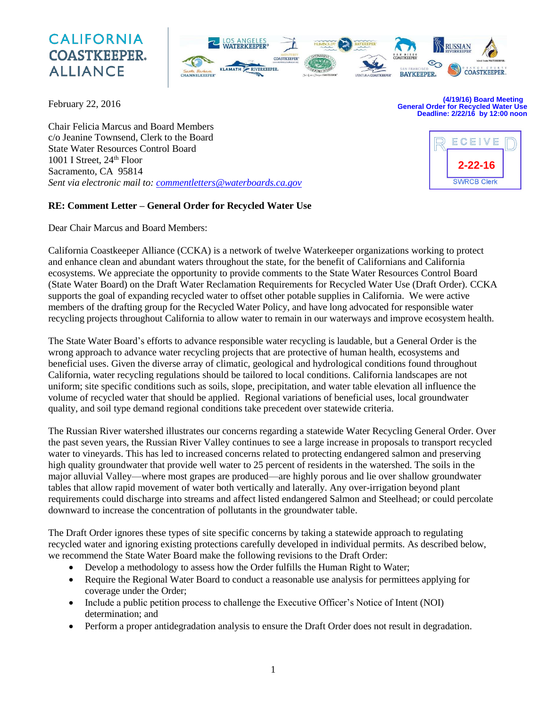# **CALIFORNIA COASTKEEPER. ALLIANCE**



February 22, 2016

**(4/19/16) Board Meeting General Order for Recycled Water Use Deadline: 2/22/16 by 12:00 noon**

**2-22-16**

**SWRCB Clerk** 

ECEIVE

Chair Felicia Marcus and Board Members c/o Jeanine Townsend, Clerk to the Board State Water Resources Control Board 1001 I Street, 24<sup>th</sup> Floor Sacramento, CA 95814 *Sent via electronic mail to: [commentletters@waterboards.ca.gov](mailto:commentletters@waterboards.ca.gov)*

# **RE: Comment Letter – General Order for Recycled Water Use**

Dear Chair Marcus and Board Members:

California Coastkeeper Alliance (CCKA) is a network of twelve Waterkeeper organizations working to protect and enhance clean and abundant waters throughout the state, for the benefit of Californians and California ecosystems. We appreciate the opportunity to provide comments to the State Water Resources Control Board (State Water Board) on the Draft Water Reclamation Requirements for Recycled Water Use (Draft Order). CCKA supports the goal of expanding recycled water to offset other potable supplies in California. We were active members of the drafting group for the Recycled Water Policy, and have long advocated for responsible water recycling projects throughout California to allow water to remain in our waterways and improve ecosystem health.

The State Water Board's efforts to advance responsible water recycling is laudable, but a General Order is the wrong approach to advance water recycling projects that are protective of human health, ecosystems and beneficial uses. Given the diverse array of climatic, geological and hydrological conditions found throughout California, water recycling regulations should be tailored to local conditions. California landscapes are not uniform; site specific conditions such as soils, slope, precipitation, and water table elevation all influence the volume of recycled water that should be applied. Regional variations of beneficial uses, local groundwater quality, and soil type demand regional conditions take precedent over statewide criteria.

The Russian River watershed illustrates our concerns regarding a statewide Water Recycling General Order. Over the past seven years, the Russian River Valley continues to see a large increase in proposals to transport recycled water to vineyards. This has led to increased concerns related to protecting endangered salmon and preserving high quality groundwater that provide well water to 25 percent of residents in the watershed. The soils in the major alluvial Valley—where most grapes are produced—are highly porous and lie over shallow groundwater tables that allow rapid movement of water both vertically and laterally. Any over-irrigation beyond plant requirements could discharge into streams and affect listed endangered Salmon and Steelhead; or could percolate downward to increase the concentration of pollutants in the groundwater table.

The Draft Order ignores these types of site specific concerns by taking a statewide approach to regulating recycled water and ignoring existing protections carefully developed in individual permits. As described below, we recommend the State Water Board make the following revisions to the Draft Order:

- Develop a methodology to assess how the Order fulfills the Human Right to Water;
- Require the Regional Water Board to conduct a reasonable use analysis for permittees applying for coverage under the Order;
- Include a public petition process to challenge the Executive Officer's Notice of Intent (NOI) determination; and
- Perform a proper antidegradation analysis to ensure the Draft Order does not result in degradation.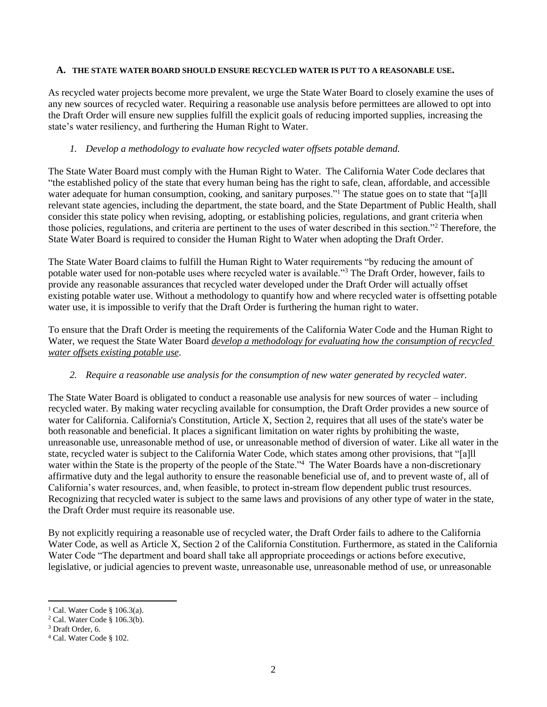#### **A. THE STATE WATER BOARD SHOULD ENSURE RECYCLED WATER IS PUT TO A REASONABLE USE.**

As recycled water projects become more prevalent, we urge the State Water Board to closely examine the uses of any new sources of recycled water. Requiring a reasonable use analysis before permittees are allowed to opt into the Draft Order will ensure new supplies fulfill the explicit goals of reducing imported supplies, increasing the state's water resiliency, and furthering the Human Right to Water.

## *1. Develop a methodology to evaluate how recycled water offsets potable demand.*

The State Water Board must comply with the Human Right to Water. The California Water Code declares that "the established policy of the state that every human being has the right to safe, clean, affordable, and accessible water adequate for human consumption, cooking, and sanitary purposes."<sup>1</sup> The statue goes on to state that "[a]ll relevant state agencies, including the department, the state board, and the State Department of Public Health, shall consider this state policy when revising, adopting, or establishing policies, regulations, and grant criteria when those policies, regulations, and criteria are pertinent to the uses of water described in this section."<sup>2</sup> Therefore, the State Water Board is required to consider the Human Right to Water when adopting the Draft Order.

The State Water Board claims to fulfill the Human Right to Water requirements "by reducing the amount of potable water used for non-potable uses where recycled water is available."<sup>3</sup> The Draft Order, however, fails to provide any reasonable assurances that recycled water developed under the Draft Order will actually offset existing potable water use. Without a methodology to quantify how and where recycled water is offsetting potable water use, it is impossible to verify that the Draft Order is furthering the human right to water.

To ensure that the Draft Order is meeting the requirements of the California Water Code and the Human Right to Water, we request the State Water Board *develop a methodology for evaluating how the consumption of recycled water offsets existing potable use*.

#### *2. Require a reasonable use analysis for the consumption of new water generated by recycled water.*

The State Water Board is obligated to conduct a reasonable use analysis for new sources of water – including recycled water. By making water recycling available for consumption, the Draft Order provides a new source of water for California. California's Constitution, Article X, Section 2, requires that all uses of the state's water be both reasonable and beneficial. It places a significant limitation on water rights by prohibiting the waste, unreasonable use, unreasonable method of use, or unreasonable method of diversion of water. Like all water in the state, recycled water is subject to the California Water Code, which states among other provisions, that "[a]ll water within the State is the property of the people of the State."<sup>4</sup> The Water Boards have a non-discretionary affirmative duty and the legal authority to ensure the reasonable beneficial use of, and to prevent waste of, all of California's water resources, and, when feasible, to protect in-stream flow dependent public trust resources. Recognizing that recycled water is subject to the same laws and provisions of any other type of water in the state, the Draft Order must require its reasonable use.

By not explicitly requiring a reasonable use of recycled water, the Draft Order fails to adhere to the California Water Code, as well as Article X, Section 2 of the California Constitution. Furthermore, as stated in the California Water Code "The department and board shall take all appropriate proceedings or actions before executive, legislative, or judicial agencies to prevent waste, unreasonable use, unreasonable method of use, or unreasonable

 $\overline{\phantom{a}}$ 

<sup>&</sup>lt;sup>1</sup> Cal. Water Code § 106.3(a).

<sup>2</sup> Cal. Water Code § 106.3(b).

<sup>3</sup> Draft Order, 6.

<sup>4</sup> Cal. Water Code § 102.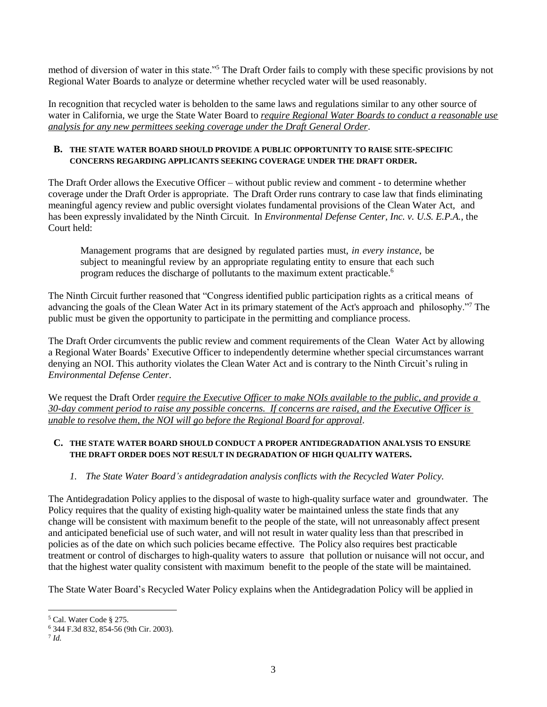method of diversion of water in this state."<sup>5</sup> The Draft Order fails to comply with these specific provisions by not Regional Water Boards to analyze or determine whether recycled water will be used reasonably.

In recognition that recycled water is beholden to the same laws and regulations similar to any other source of water in California, we urge the State Water Board to *require Regional Water Boards to conduct a reasonable use analysis for any new permittees seeking coverage under the Draft General Order*.

#### **B. THE STATE WATER BOARD SHOULD PROVIDE A PUBLIC OPPORTUNITY TO RAISE SITE-SPECIFIC CONCERNS REGARDING APPLICANTS SEEKING COVERAGE UNDER THE DRAFT ORDER.**

The Draft Order allows the Executive Officer – without public review and comment - to determine whether coverage under the Draft Order is appropriate. The Draft Order runs contrary to case law that finds eliminating meaningful agency review and public oversight violates fundamental provisions of the Clean Water Act, and has been expressly invalidated by the Ninth Circuit. In *Environmental Defense Center, Inc. v. U.S. E.P.A.*, the Court held:

Management programs that are designed by regulated parties must, *in every instance*, be subject to meaningful review by an appropriate regulating entity to ensure that each such program reduces the discharge of pollutants to the maximum extent practicable.<sup>6</sup>

The Ninth Circuit further reasoned that "Congress identified public participation rights as a critical means of advancing the goals of the Clean Water Act in its primary statement of the Act's approach and philosophy."<sup>7</sup> The public must be given the opportunity to participate in the permitting and compliance process.

The Draft Order circumvents the public review and comment requirements of the Clean Water Act by allowing a Regional Water Boards' Executive Officer to independently determine whether special circumstances warrant denying an NOI. This authority violates the Clean Water Act and is contrary to the Ninth Circuit's ruling in *Environmental Defense Center*.

We request the Draft Order *require the Executive Officer to make NOIs available to the public, and provide a 30-day comment period to raise any possible concerns. If concerns are raised, and the Executive Officer is unable to resolve them, the NOI will go before the Regional Board for approval*.

## **C. THE STATE WATER BOARD SHOULD CONDUCT A PROPER ANTIDEGRADATION ANALYSIS TO ENSURE THE DRAFT ORDER DOES NOT RESULT IN DEGRADATION OF HIGH QUALITY WATERS.**

*1. The State Water Board's antidegradation analysis conflicts with the Recycled Water Policy.*

The Antidegradation Policy applies to the disposal of waste to high-quality surface water and groundwater. The Policy requires that the quality of existing high-quality water be maintained unless the state finds that any change will be consistent with maximum benefit to the people of the state, will not unreasonably affect present and anticipated beneficial use of such water, and will not result in water quality less than that prescribed in policies as of the date on which such policies became effective. The Policy also requires best practicable treatment or control of discharges to high-quality waters to assure that pollution or nuisance will not occur, and that the highest water quality consistent with maximum benefit to the people of the state will be maintained.

The State Water Board's Recycled Water Policy explains when the Antidegradation Policy will be applied in

l

<sup>5</sup> Cal. Water Code § 275.

<sup>6</sup> 344 F.3d 832, 854-56 (9th Cir. 2003).

<sup>7</sup> *Id.*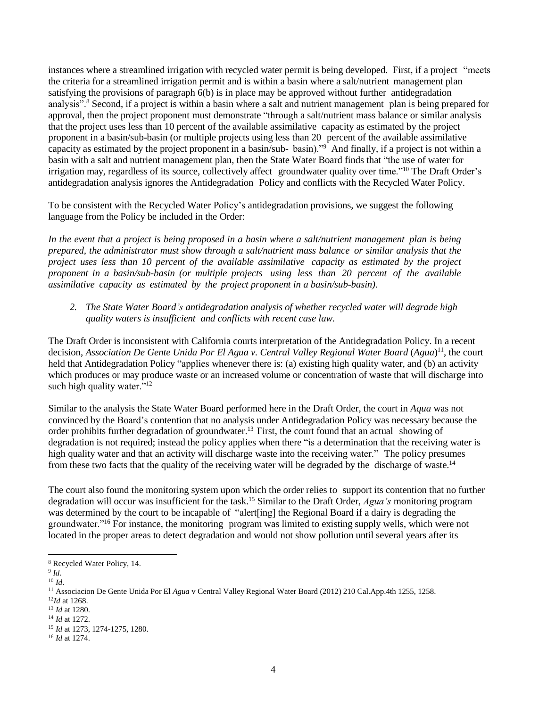instances where a streamlined irrigation with recycled water permit is being developed. First, if a project "meets the criteria for a streamlined irrigation permit and is within a basin where a salt/nutrient management plan satisfying the provisions of paragraph 6(b) is in place may be approved without further antidegradation analysis".<sup>8</sup> Second, if a project is within a basin where a salt and nutrient management plan is being prepared for approval, then the project proponent must demonstrate "through a salt/nutrient mass balance or similar analysis that the project uses less than 10 percent of the available assimilative capacity as estimated by the project proponent in a basin/sub-basin (or multiple projects using less than 20 percent of the available assimilative capacity as estimated by the project proponent in a basin/sub- basin)."<sup>9</sup> And finally, if a project is not within <sup>a</sup> basin with a salt and nutrient management plan, then the State Water Board finds that "the use of water for irrigation may, regardless of its source, collectively affect groundwater quality over time."<sup>10</sup> The Draft Order's antidegradation analysis ignores the Antidegradation Policy and conflicts with the Recycled Water Policy.

To be consistent with the Recycled Water Policy's antidegradation provisions, we suggest the following language from the Policy be included in the Order:

In the event that a project is being proposed in a basin where a salt/nutrient management plan is being *prepared, the administrator must show through a salt/nutrient mass balance or similar analysis that the project uses less than 10 percent of the available assimilative capacity as estimated by the project proponent in a basin/sub-basin (or multiple projects using less than 20 percent of the available assimilative capacity as estimated by the project proponent in a basin/sub-basin).*

*2. The State Water Board's antidegradation analysis of whether recycled water will degrade high quality waters is insufficient and conflicts with recent case law.*

The Draft Order is inconsistent with California courts interpretation of the Antidegradation Policy. In a recent decision, *Association De Gente Unida Por El Agua v. Central Valley Regional Water Board* (*Agua*) 11 , the court held that Antidegradation Policy "applies whenever there is: (a) existing high quality water, and (b) an activity which produces or may produce waste or an increased volume or concentration of waste that will discharge into such high quality water."<sup>12</sup>

Similar to the analysis the State Water Board performed here in the Draft Order, the court in *Aqua* was not convinced by the Board's contention that no analysis under Antidegradation Policy was necessary because the order prohibits further degradation of groundwater.<sup>13</sup> First, the court found that an actual showing of degradation is not required; instead the policy applies when there "is a determination that the receiving water is high quality water and that an activity will discharge waste into the receiving water." The policy presumes from these two facts that the quality of the receiving water will be degraded by the discharge of waste.<sup>14</sup>

The court also found the monitoring system upon which the order relies to support its contention that no further degradation will occur was insufficient for the task.<sup>15</sup> Similar to the Draft Order, *Agua's* monitoring program was determined by the court to be incapable of "alert[ing] the Regional Board if a dairy is degrading the groundwater."<sup>16</sup> For instance, the monitoring program was limited to existing supply wells, which were not located in the proper areas to detect degradation and would not show pollution until several years after its

l

<sup>8</sup> Recycled Water Policy, 14.

<sup>9</sup> *Id*.

<sup>10</sup> *Id*.

<sup>11</sup> Associacion De Gente Unida Por El *Agua* v Central Valley Regional Water Board (2012) 210 Cal.App.4th 1255, 1258.

<sup>12</sup>*Id* at 1268.

<sup>13</sup> *Id* at 1280.

<sup>14</sup> *Id* at 1272.

<sup>15</sup> *Id* at 1273, 1274-1275, 1280.

<sup>16</sup> *Id* at 1274.